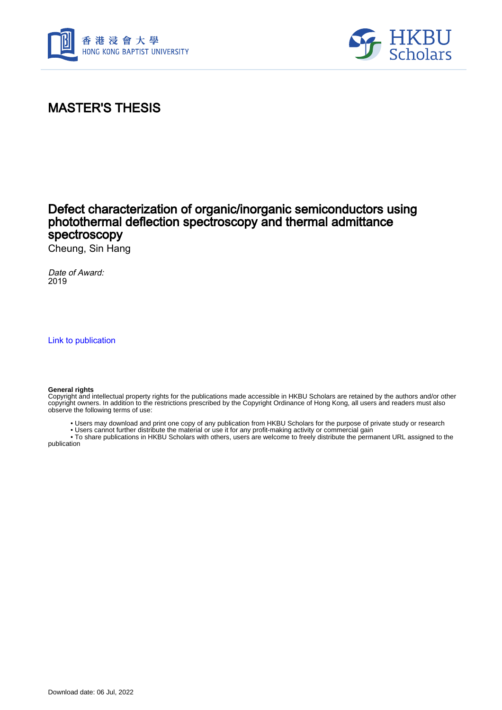



## MASTER'S THESIS

## Defect characterization of organic/inorganic semiconductors using photothermal deflection spectroscopy and thermal admittance spectroscopy

Cheung, Sin Hang

Date of Award: 2019

[Link to publication](https://scholars.hkbu.edu.hk/en/studentTheses/e5df1d70-e76a-40ec-8cba-bc0e8717ca75)

## **General rights**

Copyright and intellectual property rights for the publications made accessible in HKBU Scholars are retained by the authors and/or other copyright owners. In addition to the restrictions prescribed by the Copyright Ordinance of Hong Kong, all users and readers must also observe the following terms of use:

• Users may download and print one copy of any publication from HKBU Scholars for the purpose of private study or research

 • Users cannot further distribute the material or use it for any profit-making activity or commercial gain • To share publications in HKBU Scholars with others, users are welcome to freely distribute the permanent URL assigned to the

publication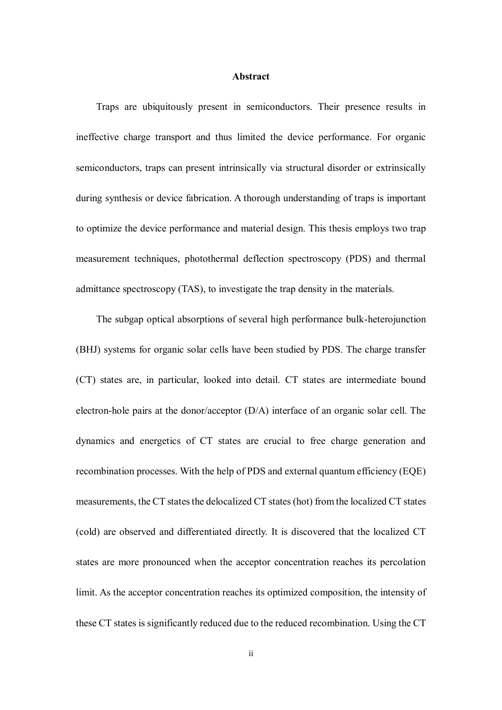## **Abstract**

Traps are ubiquitously present in semiconductors. Their presence results in ineffective charge transport and thus limited the device performance. For organic semiconductors, traps can present intrinsically via structural disorder or extrinsically during synthesis or device fabrication. A thorough understanding of traps is important to optimize the device performance and material design. This thesis employs two trap measurement techniques, photothermal deflection spectroscopy (PDS) and thermal admittance spectroscopy (TAS), to investigate the trap density in the materials.

The subgap optical absorptions of several high performance bulk-heterojunction (BHJ) systems for organic solar cells have been studied by PDS. The charge transfer (CT) states are, in particular, looked into detail. CT states are intermediate bound electron-hole pairs at the donor/acceptor (D/A) interface of an organic solar cell. The dynamics and energetics of CT states are crucial to free charge generation and recombination processes. With the help of PDS and external quantum efficiency (EQE) measurements, the CT states the delocalized CT states (hot) from the localized CT states (cold) are observed and differentiated directly. It is discovered that the localized CT states are more pronounced when the acceptor concentration reaches its percolation limit. As the acceptor concentration reaches its optimized composition, the intensity of these CT states is significantly reduced due to the reduced recombination. Using the CT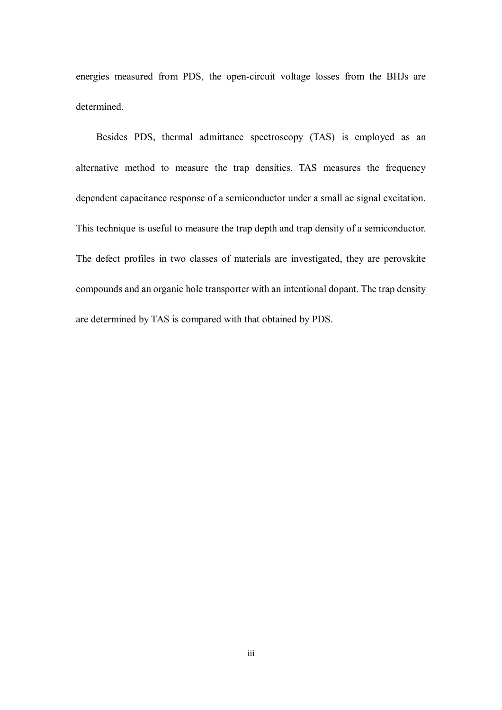energies measured from PDS, the open-circuit voltage losses from the BHJs are determined.

Besides PDS, thermal admittance spectroscopy (TAS) is employed as an alternative method to measure the trap densities. TAS measures the frequency dependent capacitance response of a semiconductor under a small ac signal excitation. This technique is useful to measure the trap depth and trap density of a semiconductor. The defect profiles in two classes of materials are investigated, they are perovskite compounds and an organic hole transporter with an intentional dopant. The trap density are determined by TAS is compared with that obtained by PDS.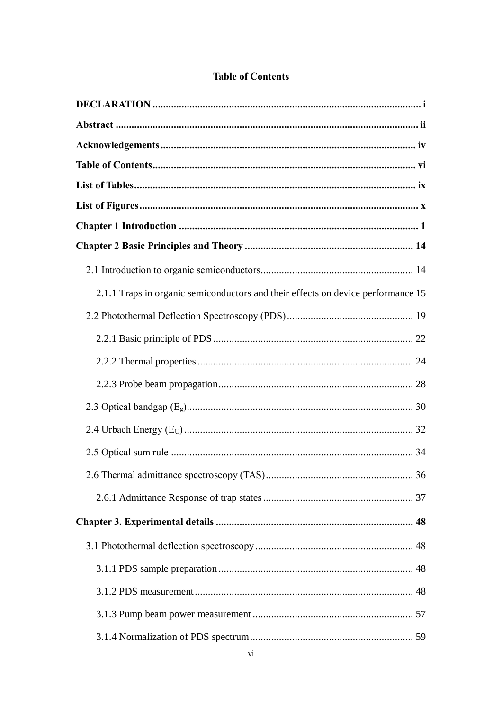| 2.1.1 Traps in organic semiconductors and their effects on device performance 15 |
|----------------------------------------------------------------------------------|
|                                                                                  |
|                                                                                  |
|                                                                                  |
|                                                                                  |
|                                                                                  |
|                                                                                  |
|                                                                                  |
| 2.6 Thermal admittance spectroscopy (TAS)<br>36                                  |
|                                                                                  |
|                                                                                  |
|                                                                                  |
|                                                                                  |
|                                                                                  |
|                                                                                  |
|                                                                                  |